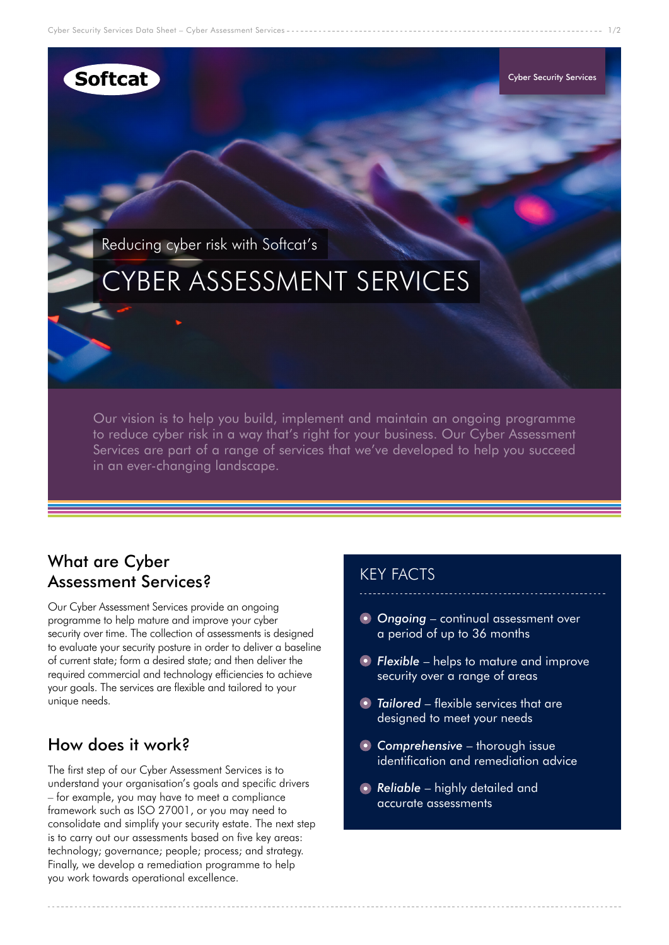## **Softcat**

Reducing cyber risk with Softcat's

# CYBER ASSESSMENT SERVICES

Our vision is to help you build, implement and maintain an ongoing programme to reduce cyber risk in a way that's right for your business. Our Cyber Assessment Services are part of a range of services that we've developed to help you succeed in an ever-changing landscape.

### What are Cyber Assessment Services?

Our Cyber Assessment Services provide an ongoing programme to help mature and improve your cyber security over time. The collection of assessments is designed to evaluate your security posture in order to deliver a baseline of current state; form a desired state; and then deliver the required commercial and technology efficiencies to achieve your goals. The services are flexible and tailored to your unique needs.

### How does it work?

The first step of our Cyber Assessment Services is to understand your organisation's goals and specific drivers – for example, you may have to meet a compliance framework such as ISO 27001, or you may need to consolidate and simplify your security estate. The next step is to carry out our assessments based on five key areas: technology; governance; people; process; and strategy. Finally, we develop a remediation programme to help you work towards operational excellence.

### KEY FACTS

*Ongoing* – continual assessment over a period of up to 36 months

Cyber Security Services

- *Flexible* helps to mature and improve security over a range of areas
- *Tailored* flexible services that are designed to meet your needs
- *Comprehensive* thorough issue identification and remediation advice
- **Reliable** highly detailed and accurate assessments